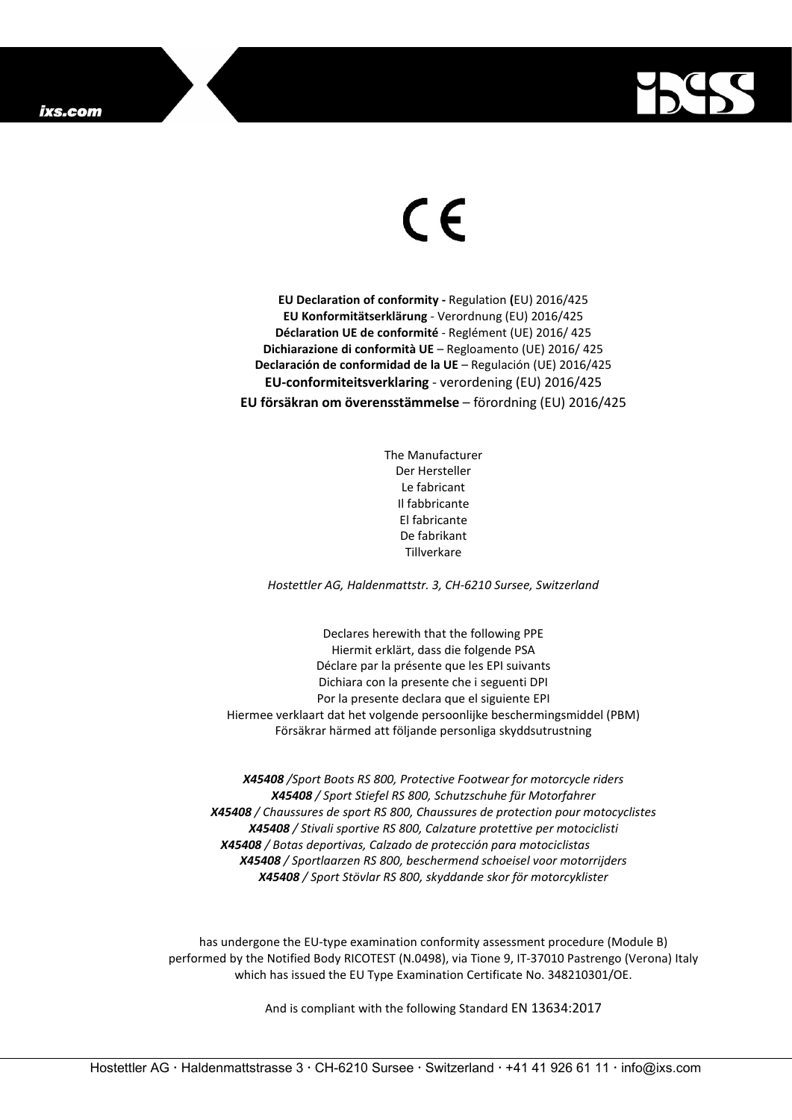

## $\epsilon$

**EU Declaration of conformity -** Regulation **(**EU) 2016/425 **EU Konformitätserklärung** - Verordnung (EU) 2016/425 **Déclaration UE de conformité** - Reglément (UE) 2016/ 425 **Dichiarazione di conformità UE** – Regloamento (UE) 2016/ 425 **Declaración de conformidad de la UE** – Regulación (UE) 2016/425 **EU-conformiteitsverklaring** - verordening (EU) 2016/425 **EU försäkran om överensstämmelse** – förordning (EU) 2016/425

> The Manufacturer Der Hersteller Le fabricant Il fabbricante El fabricante De fabrikant Tillverkare

*Hostettler AG, Haldenmattstr. 3, CH-6210 Sursee, Switzerland*

Declares herewith that the following PPE Hiermit erklärt, dass die folgende PSA Déclare par la présente que les EPI suivants Dichiara con la presente che i seguenti DPI Por la presente declara que el siguiente EPI Hiermee verklaart dat het volgende persoonlijke beschermingsmiddel (PBM) Försäkrar härmed att följande personliga skyddsutrustning

*X45408 /Sport Boots RS 800, Protective Footwear for motorcycle riders X45408 / Sport Stiefel RS 800, Schutzschuhe für Motorfahrer X45408 / Chaussures de sport RS 800, Chaussures de protection pour motocyclistes X45408 / Stivali sportive RS 800, Calzature protettive per motociclisti X45408 / Botas deportivas, Calzado de protección para motociclistas X45408 / Sportlaarzen RS 800, beschermend schoeisel voor motorrijders X45408 / Sport Stövlar RS 800, skyddande skor för motorcyklister*

has undergone the EU-type examination conformity assessment procedure (Module B) performed by the Notified Body RICOTEST (N.0498), via Tione 9, IT-37010 Pastrengo (Verona) Italy which has issued the EU Type Examination Certificate No. 348210301/OE.

And is compliant with the following Standard EN 13634:2017